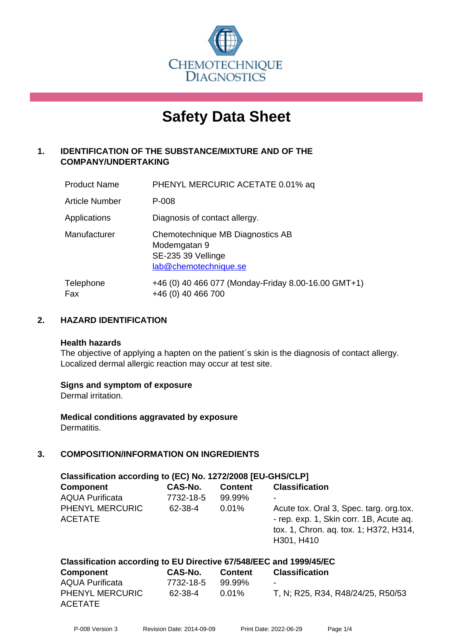

# **Safety Data Sheet**

# **1. IDENTIFICATION OF THE SUBSTANCE/MIXTURE AND OF THE COMPANY/UNDERTAKING**

| <b>Product Name</b>   | PHENYL MERCURIC ACETATE 0.01% aq                                                                |
|-----------------------|-------------------------------------------------------------------------------------------------|
| <b>Article Number</b> | P-008                                                                                           |
| Applications          | Diagnosis of contact allergy.                                                                   |
| Manufacturer          | Chemotechnique MB Diagnostics AB<br>Modemgatan 9<br>SE-235 39 Vellinge<br>lab@chemotechnique.se |
| Telephone<br>Fax      | +46 (0) 40 466 077 (Monday-Friday 8.00-16.00 GMT+1)<br>+46 (0) 40 466 700                       |

# **2. HAZARD IDENTIFICATION**

#### **Health hazards**

The objective of applying a hapten on the patient's skin is the diagnosis of contact allergy. Localized dermal allergic reaction may occur at test site.

## **Signs and symptom of exposure**

Dermal irritation.

**Medical conditions aggravated by exposure** Dermatitis.

# **3. COMPOSITION/INFORMATION ON INGREDIENTS**

| Classification according to (EC) No. 1272/2008 [EU-GHS/CLP]                     |                                 |                                      |                                                                                                                                                                      |  |  |
|---------------------------------------------------------------------------------|---------------------------------|--------------------------------------|----------------------------------------------------------------------------------------------------------------------------------------------------------------------|--|--|
| <b>Component</b><br><b>AQUA Purificata</b><br>PHENYL MERCURIC<br><b>ACETATE</b> | CAS-No.<br>7732-18-5<br>62-38-4 | <b>Content</b><br>99.99%<br>$0.01\%$ | <b>Classification</b><br>Acute tox. Oral 3, Spec. targ. org. tox.<br>- rep. exp. 1, Skin corr. 1B, Acute aq.<br>tox. 1, Chron. aq. tox. 1; H372, H314,<br>H301, H410 |  |  |
| Classification according to EU Directive 67/548/EEC and 1999/45/EC              |                                 |                                      |                                                                                                                                                                      |  |  |

| Component              | <b>CAS-No.</b> | <b>Content</b> | <b>Classification</b>             |
|------------------------|----------------|----------------|-----------------------------------|
| <b>AQUA Purificata</b> | 7732-18-5      | 99.99%         | $\blacksquare$                    |
| <b>PHENYL MERCURIC</b> | 62-38-4        | 0.01%          | T, N; R25, R34, R48/24/25, R50/53 |
| <b>ACETATE</b>         |                |                |                                   |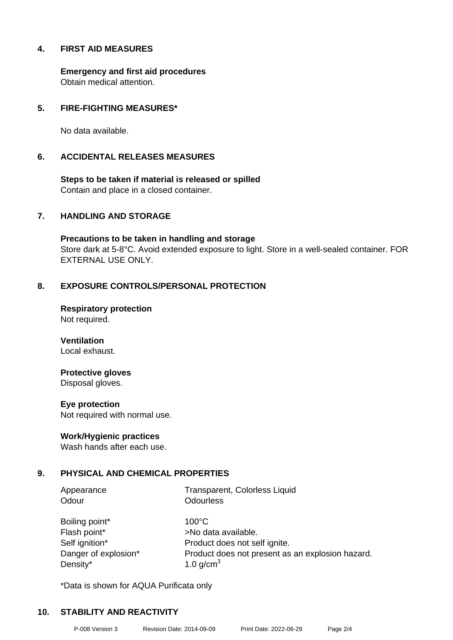## **4. FIRST AID MEASURES**

**Emergency and first aid procedures** Obtain medical attention.

## **5. FIRE-FIGHTING MEASURES\***

No data available.

#### **6. ACCIDENTAL RELEASES MEASURES**

**Steps to be taken if material is released or spilled** Contain and place in a closed container.

## **7. HANDLING AND STORAGE**

**Precautions to be taken in handling and storage** Store dark at 5-8°C. Avoid extended exposure to light. Store in a well-sealed container. FOR EXTERNAL USE ONLY.

## **8. EXPOSURE CONTROLS/PERSONAL PROTECTION**

**Respiratory protection** Not required.

**Ventilation** Local exhaust.

## **Protective gloves**

Disposal gloves.

#### **Eye protection**

Not required with normal use.

#### **Work/Hygienic practices**

Wash hands after each use.

## **9. PHYSICAL AND CHEMICAL PROPERTIES**

Odour **Odourless** 

Appearance Transparent, Colorless Liquid

Boiling point\* 100°C Flash point\* >No data available. Density\*  $1.0 \text{ g/cm}^3$ 

Self ignition\* Product does not self ignite. Danger of explosion\* Product does not present as an explosion hazard.

\*Data is shown for AQUA Purificata only

## **10. STABILITY AND REACTIVITY**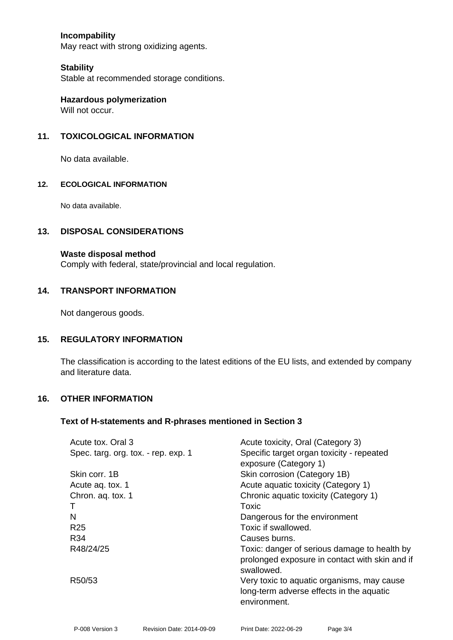# **Incompability**

May react with strong oxidizing agents.

#### **Stability**

Stable at recommended storage conditions.

**Hazardous polymerization** Will not occur.

## **11. TOXICOLOGICAL INFORMATION**

No data available.

#### **12. ECOLOGICAL INFORMATION**

No data available.

#### **13. DISPOSAL CONSIDERATIONS**

#### **Waste disposal method**

Comply with federal, state/provincial and local regulation.

#### **14. TRANSPORT INFORMATION**

Not dangerous goods.

## **15. REGULATORY INFORMATION**

The classification is according to the latest editions of the EU lists, and extended by company and literature data.

#### **16. OTHER INFORMATION**

#### **Text of H-statements and R-phrases mentioned in Section 3**

| Acute tox, Oral 3                   | Acute toxicity, Oral (Category 3)                                                                            |
|-------------------------------------|--------------------------------------------------------------------------------------------------------------|
| Spec. targ. org. tox. - rep. exp. 1 | Specific target organ toxicity - repeated<br>exposure (Category 1)                                           |
| Skin corr. 1B                       | Skin corrosion (Category 1B)                                                                                 |
|                                     |                                                                                                              |
| Acute ag. tox. 1                    | Acute aquatic toxicity (Category 1)                                                                          |
| Chron. aq. tox. 1                   | Chronic aquatic toxicity (Category 1)                                                                        |
|                                     | Toxic                                                                                                        |
| N                                   | Dangerous for the environment                                                                                |
| R <sub>25</sub>                     | Toxic if swallowed.                                                                                          |
| R34                                 | Causes burns.                                                                                                |
| R48/24/25                           | Toxic: danger of serious damage to health by<br>prolonged exposure in contact with skin and if<br>swallowed. |
| R50/53                              | Very toxic to aquatic organisms, may cause<br>long-term adverse effects in the aquatic<br>environment.       |
|                                     |                                                                                                              |